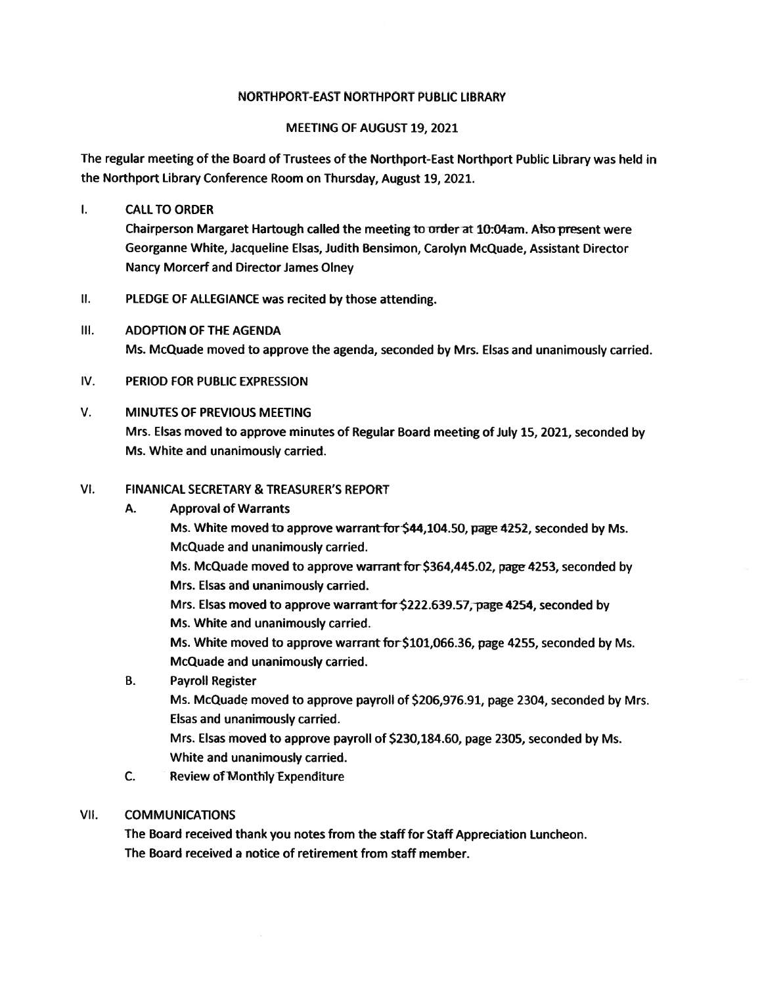#### NORTHPORT-EAST NORTHPORT PUBLIC LIBRARY

## MEETING OF AUGUST 19, 2021

The regular meeting of the Board of Trustees of the Northport-East Northport Public Library was held in the Northport Library Conference Room on Thursday, August 19, 2021.

 $\mathbf{L}$ CALLTO ORDER

> Chairperson Margaret Hartough called the meeting to order at 10:04am. Also present were Georganne White, Jacqueline Elsas, Judith Bensimon, Carolyn McQuade, Assistant Director Nancy Morcerf and Director James Olney

- $II.$ PLEDGE OF ALLEGIANCE was recited by those attending.
- Ill. ADOPTION OF THE AGENDA Ms. McQuade moved to approve the agenda, seconded by Mrs. Elsas and unanimously carried.
- IV. PERIOD FOR PUBLIC EXPRESSION

#### V. MINUTES OF PREVIOUS MEETING

Mrs. Elsas moved to approve minutes of Regular Board meeting of July 15, 2021, seconded by Ms. White and unanimously carried.

#### VI. FINANICAL SECRETARY & TREASURER'S REPORT

A. Approval of Warrants Ms. White moved to approve warrant for \$44,104.50, page 4252, seconded by Ms. McQuade and unanimously carried. Ms. McQuade moved to approve warrant for \$364,445.02, page 4253, seconded by Mrs. Elsas and unanimously carried. Mrs. Elsas moved to approve warrant for \$222.639.57, page 4254, seconded by Ms. White and unanimously carried. Ms. White moved to approve warrant for \$101,066.36, page 4255, seconded by Ms. McQuade and unanimously carried. B. Payroll Register Ms. McQuade moved to approve payroll of \$206,976.91, page 2304, seconded by Mrs. Elsas and unanimously carried.

Mrs. Elsas moved to approve payroll of \$230,184.60, page 2305, seconded by Ms. White and unanimously carried.

C. Review of Monthly Expenditure

## VII. COMMUNICATIONS

The Board received thank you notes from the staff for Staff Appreciation Luncheon. The Board received <sup>a</sup> notice of retirement from staff member.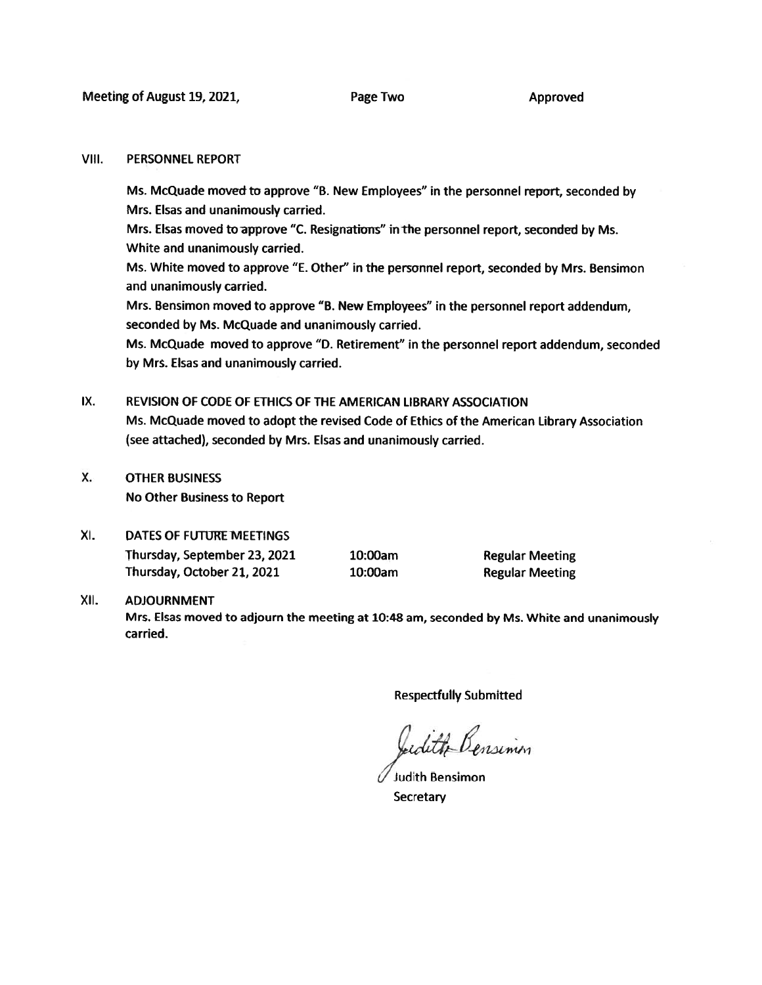#### VIII. PERSONNEL REPORT

Ms. McQuade moved to approve "B. New Employees" in the personne<sup>l</sup> report, seconded by Mrs. Elsas and unanimously carried.

Mrs. Elsas moved to approve "C. Resignations" in the personnel report, seconded by Ms. White and unanimously carried.

Ms. White moved to approve "E. Other" in the personnel report, seconded by Mrs. Bensimon and unanimously carried.

Mrs. Bensimon moved to approve "B. New Employees" in the personnel repor<sup>t</sup> addendum, seconded by Ms. McQuade and unanimously carried.

Ms. McQuade moved to approve "D. Retirement" in the personnel repor<sup>t</sup> addendum, seconded by Mrs. Elsas and unanimously carried.

#### IX. REVISION OF CODE OF ETHICS OF THE AMERICAN LIBRARY ASSOCIATION

Ms. McQuade moved to adopt the revised Code of Ethics of the American Library Association (see attached), seconded by Mrs. Elsas and unanimously carried.

X. OTHER BUSINESS No Other Business to Report

## XI. DATES OF FUTURE MEETINGS

Thursday, September 23, 2021 10:00am Regular Meeting Thursday, October 21, 2021 10:00am Regular Meeting

## XII. ADJOURNMENT

Mrs. Elsas moved to adjourn the meeting at 10:48 am, seconded by Ms. White and unanimously carried.

Respectfully Submitted

Lidith Bensimm

Judith Bensimon **Secretary**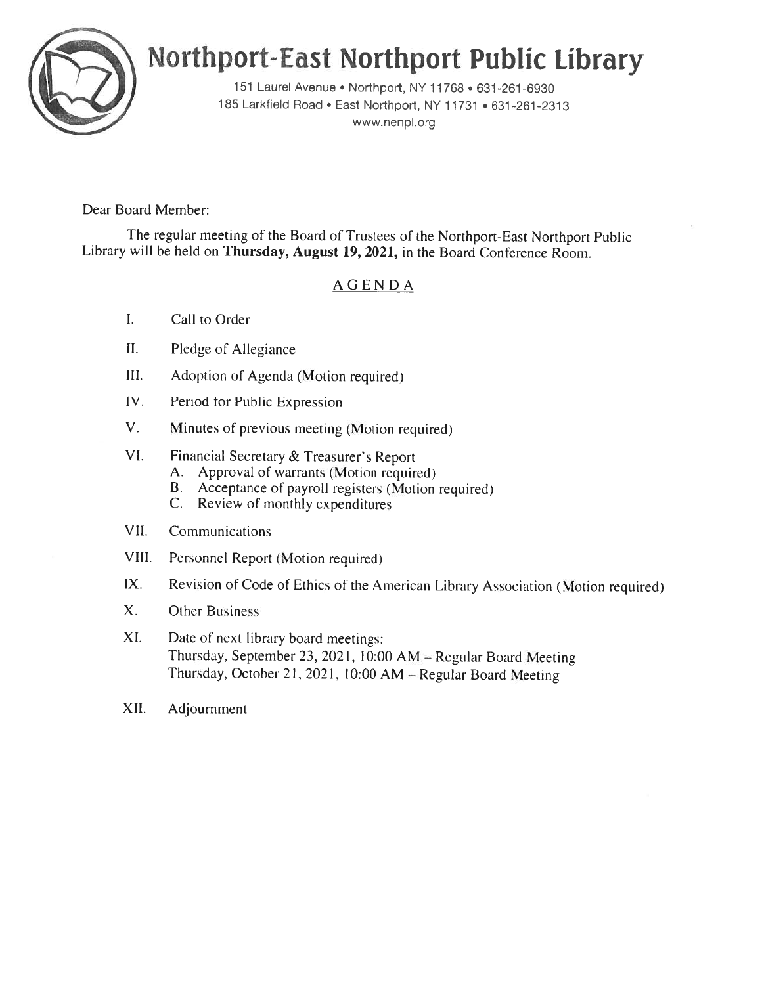

# Northport-East Northport Public Library

<sup>151</sup> Laure' Avenue' Northport, NY 11768 • 631-261-6930 <sup>185</sup> Larkfield Road. East Northport, NY <sup>11731</sup> • 631-261-2313 www.nenpl.org

Dear Board Member:

The regular meeting of the Board of Trustees of the Northport-East Northport Public Library will be held on Thursday, August 19, 2021, in the Board Conference Room.

## AGENDA

- I. Call to Order
- II. Pledge of Allegiance
- III. Adoption of Agenda (Motion required)
- IV. Period for Public Expression
- V. Minutes of previous meeting (Motion required
- VI. Financial Secretary & Treasurer's Report
	- A. Approval of warrants (Motion required)
	- B. Acceptance of payroll registers (Motion required)
	- C. Review of monthly expenditures
- VII. Communications
- VIII. Personnel Report (Motion required)
- IX. Revision of Code of Ethics of the American Library Association (Motion required)
- X. Other Business
- XI. Date of next library board meetings: Thursday. September 23, 2021, 10:00 AM — Regular Board Meeting Thursday, October 21, 2021, 10:00 AM - Regular Board Meeting
- XII. Adjournment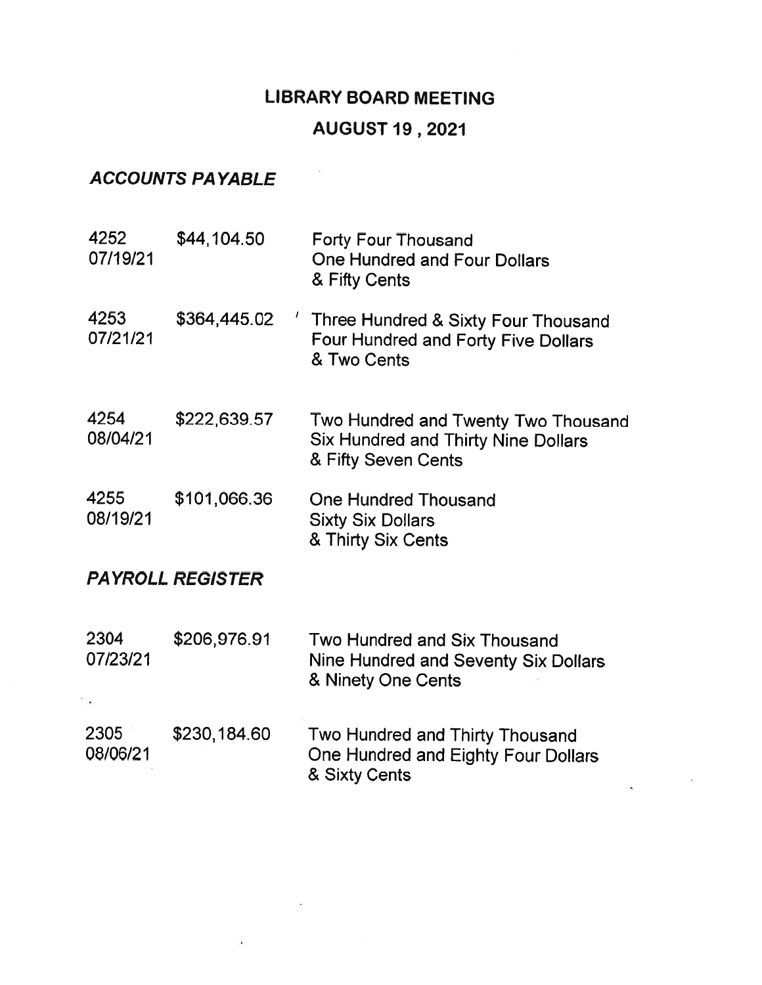## LIBRARY BOARD MEETING

 $\overline{1}$ 

## AUGUST19 , 2021

## ACCOUNTS PAYABLE

 $\mathcal{L}_{\mathcal{L}}$ 

| 4252<br>07/19/21        | \$44,104.50                    | <b>Forty Four Thousand</b><br>One Hundred and Four Dollars<br>& Fifty Cents                              |  |  |  |  |
|-------------------------|--------------------------------|----------------------------------------------------------------------------------------------------------|--|--|--|--|
| 4253<br>07/21/21        | $\overline{1}$<br>\$364,445.02 | Three Hundred & Sixty Four Thousand<br><b>Four Hundred and Forty Five Dollars</b><br>& Two Cents         |  |  |  |  |
| 4254<br>08/04/21        | \$222,639.57                   | Two Hundred and Twenty Two Thousand<br><b>Six Hundred and Thirty Nine Dollars</b><br>& Fifty Seven Cents |  |  |  |  |
| 4255<br>08/19/21        | \$101,066.36                   | <b>One Hundred Thousand</b><br><b>Sixty Six Dollars</b><br>& Thirty Six Cents                            |  |  |  |  |
| <b>PAYROLL REGISTER</b> |                                |                                                                                                          |  |  |  |  |
| 2304<br>07/23/21        | \$206,976.91                   | Two Hundred and Six Thousand<br>Nine Hundred and Seventy Six Dollars<br>& Ninety One Cents               |  |  |  |  |
| 2305<br>08/06/21        | \$230,184.60                   | Two Hundred and Thirty Thousand<br>One Hundred and Eighty Four Dollars<br>& Sixty Cents                  |  |  |  |  |

 $\sim$  80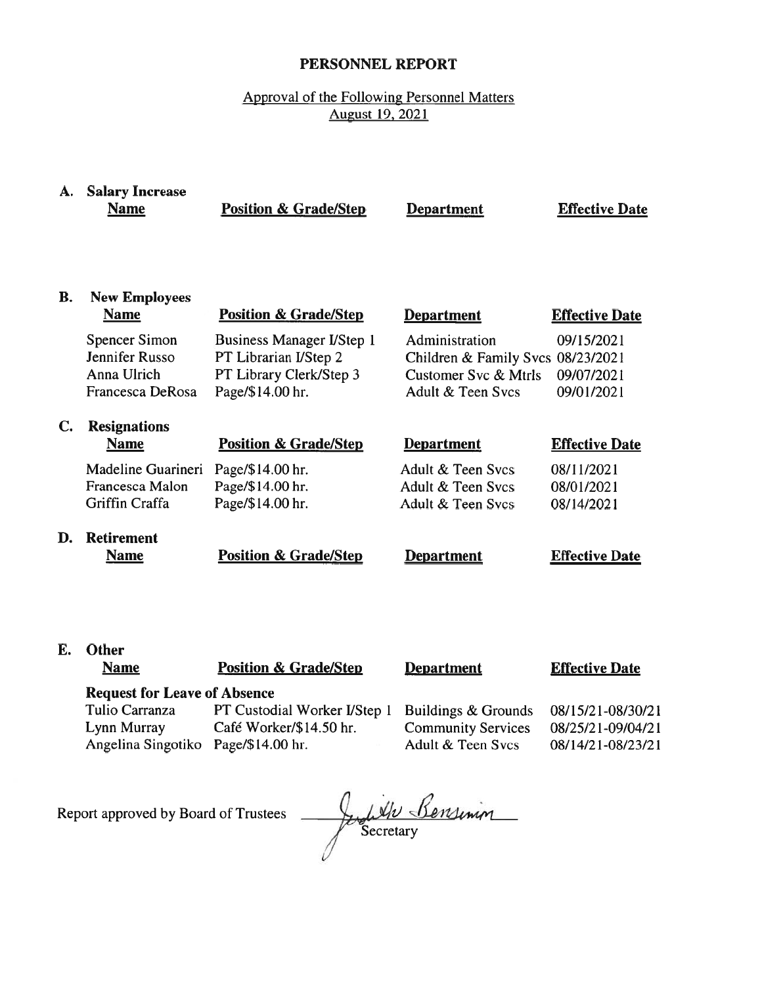## PERSONNEL REPORT

## Approval of the Following Personnel Matters August 19, 2021

# A. Salary Increase

Name **Position & Grade/Step Department Effective Date** 

## B. New Employees

|    | <b>Name</b>           | <b>Position &amp; Grade/Step</b> | <b>Department</b>                 | <b>Effective Date</b> |
|----|-----------------------|----------------------------------|-----------------------------------|-----------------------|
|    | Spencer Simon         | <b>Business Manager I/Step 1</b> | Administration                    | 09/15/2021            |
|    | Jennifer Russo        | PT Librarian I/Step 2            | Children & Family Svcs 08/23/2021 |                       |
|    | Anna Ulrich           | PT Library Clerk/Step 3          | Customer Svc & Mtrls              | 09/07/2021            |
|    | Francesca DeRosa      | Page/\$14.00 hr.                 | Adult & Teen Sycs                 | 09/01/2021            |
| C. | <b>Resignations</b>   |                                  |                                   |                       |
|    | <b>Name</b>           | <b>Position &amp; Grade/Step</b> | <b>Department</b>                 | <b>Effective Date</b> |
|    | Madeline Guarineri    | Page/\$14.00 hr.                 | Adult & Teen Sycs                 | 08/11/2021            |
|    | Francesca Malon       | Page/\$14.00 hr.                 | Adult & Teen Svcs                 | 08/01/2021            |
|    | <b>Griffin Craffa</b> | Page/\$14.00 hr.                 | Adult & Teen Sycs                 | 08/14/2021            |
|    | <b>Retirement</b>     |                                  |                                   |                       |

Name **Position & Grade/Step Department** Effective Date

| <b>Department</b> |
|-------------------|
|                   |

## E. Other

Name **Position & Grade/Step** 

**Department** 

## Effective Date

## Request for Leave of Absence

Angelina Singotiko Page/\$ 14.00 hr.

Tulio Carranza PT Custodial Worker I/Step 1 Lynn Murray Café Worker/\$ 14.50 hr.

Buildings & Grounds Community Services Adult & Teen Svcs

08/15/2 1-08/30/21 08/25/21-09/04/21 08/14/21-08/23/21

Report approved by Board of Trustees

July Bensinin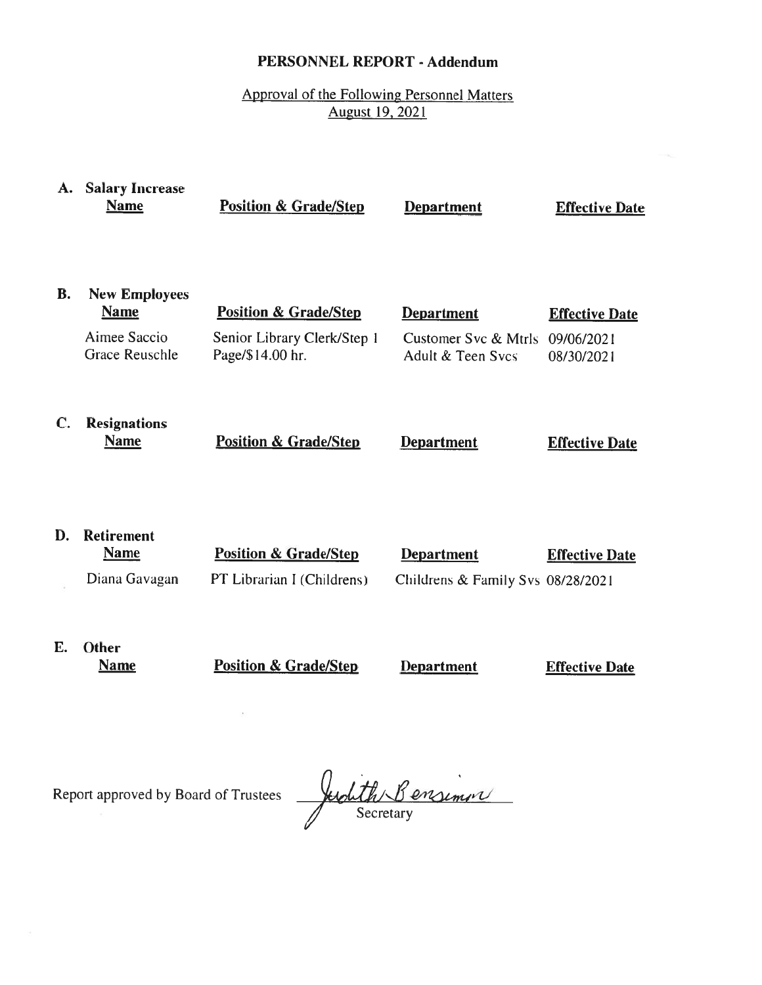## PERSONNEL REPORT - Addendum

Approval of the Following Personnel Matters August 19, 2021

| A. | <b>Salary Increase</b><br><b>Name</b>                                        | <b>Position &amp; Grade/Step</b>                                                    | <b>Department</b>                                              | <b>Effective Date</b>                             |
|----|------------------------------------------------------------------------------|-------------------------------------------------------------------------------------|----------------------------------------------------------------|---------------------------------------------------|
| В. | <b>New Employees</b><br><b>Name</b><br>Aimee Saccio<br><b>Grace Reuschle</b> | <b>Position &amp; Grade/Step</b><br>Senior Library Clerk/Step 1<br>Page/\$14.00 hr. | <b>Department</b><br>Customer Svc & Mtrls<br>Adult & Teen Sycs | <b>Effective Date</b><br>09/06/2021<br>08/30/2021 |
| C. | <b>Resignations</b><br><b>Name</b>                                           | <b>Position &amp; Grade/Step</b>                                                    | <b>Department</b>                                              | <b>Effective Date</b>                             |
| D. | <b>Retirement</b><br><b>Name</b><br>Diana Gavagan                            | <b>Position &amp; Grade/Step</b><br>PT Librarian I (Childrens)                      | <b>Department</b><br>Childrens & Family Svs 08/28/2021         | <b>Effective Date</b>                             |
| Е. | Other<br><b>Name</b>                                                         | <b>Position &amp; Grade/Step</b>                                                    | <b>Department</b>                                              | <b>Effective Date</b>                             |

Report approved by Board of Trustees

 $\bar{\nu}$ 

Judith Bensimon